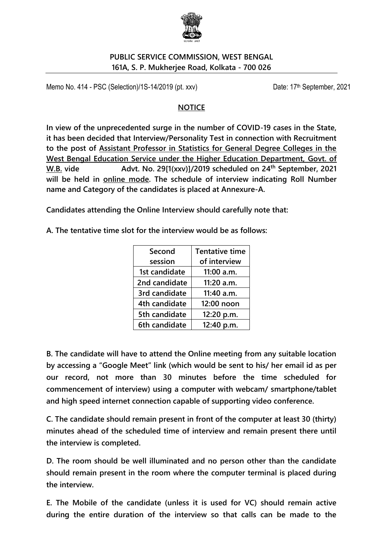

#### **PUBLIC SERVICE COMMISSION, WEST BENGAL 161A, S. P. Mukherjee Road, Kolkata - 700 026**

Memo No. 414 - PSC (Selection)/1S-14/2019 (pt. xxv) Date: 17<sup>th</sup> September, 2021

#### **NOTICE**

**In view of the unprecedented surge in the number of COVID-19 cases in the State, it has been decided that Interview/Personality Test in connection with Recruitment to the post of Assistant Professor in Statistics for General Degree Colleges in the West Bengal Education Service under the Higher Education Department, Govt. of W.B. vide Advt. No. 29[1(xxv)]/2019 scheduled on 24th September, 2021 will be held in online mode. The schedule of interview indicating Roll Number name and Category of the candidates is placed at Annexure-A.**

**Candidates attending the Online Interview should carefully note that:** 

**A. The tentative time slot for the interview would be as follows:** 

| Second        | <b>Tentative time</b> |  |  |
|---------------|-----------------------|--|--|
| session       | of interview          |  |  |
| 1st candidate | $11:00$ a.m.          |  |  |
| 2nd candidate | 11:20 a.m.            |  |  |
| 3rd candidate | 11:40 a.m.            |  |  |
| 4th candidate | 12:00 noon            |  |  |
| 5th candidate | 12:20 p.m.            |  |  |
| 6th candidate | 12:40 p.m.            |  |  |

**B. The candidate will have to attend the Online meeting from any suitable location by accessing a "Google Meet" link (which would be sent to his/ her email id as per our record, not more than 30 minutes before the time scheduled for commencement of interview) using a computer with webcam/ smartphone/tablet and high speed internet connection capable of supporting video conference.**

**C. The candidate should remain present in front of the computer at least 30 (thirty) minutes ahead of the scheduled time of interview and remain present there until the interview is completed.**

**D. The room should be well illuminated and no person other than the candidate should remain present in the room where the computer terminal is placed during the interview.**

**E. The Mobile of the candidate (unless it is used for VC) should remain active during the entire duration of the interview so that calls can be made to the**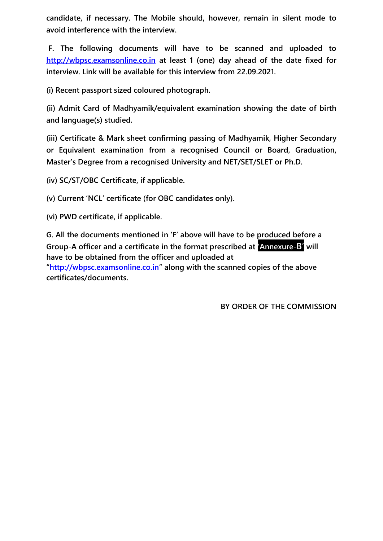**candidate, if necessary. The Mobile should, however, remain in silent mode to avoid interference with the interview.**

**F. The following documents will have to be scanned and uploaded to [http://wbpsc.examsonline.co.in](http://wbpsc.examsonline.co.in/) at least 1 (one) day ahead of the date fixed for interview. Link will be available for this interview from 22.09.2021.**

**(i) Recent passport sized coloured photograph.**

**(ii) Admit Card of Madhyamik/equivalent examination showing the date of birth and language(s) studied.**

**(iii) Certificate & Mark sheet confirming passing of Madhyamik, Higher Secondary or Equivalent examination from a recognised Council or Board, Graduation, Master's Degree from a recognised University and NET/SET/SLET or Ph.D.**

**(iv) SC/ST/OBC Certificate, if applicable.**

**(v) Current 'NCL' certificate (for OBC candidates only).**

**(vi) PWD certificate, if applicable.**

**G. All the documents mentioned in 'F' above will have to be produced before a Group-A officer and a certificate in the format prescribed at 'Annexure-B' will have to be obtained from the officer and uploaded at**

**"[http://wbpsc.examsonline.co.in](http://wbpsc.examsonline.co.in/)" along with the scanned copies of the above certificates/documents.**

**BY ORDER OF THE COMMISSION**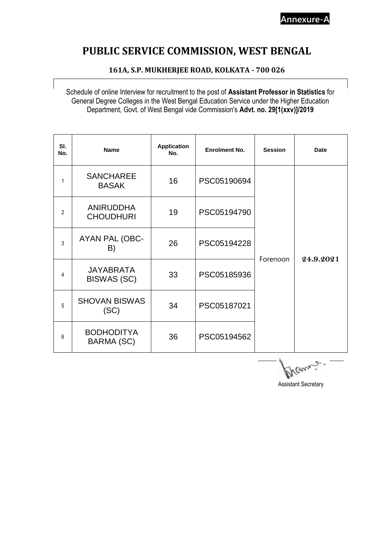## **PUBLIC SERVICE COMMISSION, WEST BENGAL**

#### **161A, S.P. MUKHERJEE ROAD, KOLKATA - 700 026**

Schedule of online Interview for recruitment to the post of **Assistant Professor in Statistics** for General Degree Colleges in the West Bengal Education Service under the Higher Education Department, Govt. of West Bengal vide Commission's **Advt. no. 29[1(xxv)]/2019**

| SI.<br>No.     | <b>Name</b>                            | <b>Application</b><br>No. | <b>Enrolment No.</b> | <b>Session</b> | <b>Date</b> |
|----------------|----------------------------------------|---------------------------|----------------------|----------------|-------------|
| 1              | <b>SANCHAREE</b><br><b>BASAK</b>       | 16                        | PSC05190694          |                | 24.9.2021   |
| $\overline{2}$ | <b>ANIRUDDHA</b><br><b>CHOUDHURI</b>   | 19                        | PSC05194790          |                |             |
| 3              | AYAN PAL (OBC-<br>B)                   | 26                        | PSC05194228          |                |             |
| 4              | <b>JAYABRATA</b><br><b>BISWAS (SC)</b> | 33                        | PSC05185936          | Forenoon       |             |
| 5              | <b>SHOVAN BISWAS</b><br>(SC)           | 34                        | PSC05187021          |                |             |
| 6              | <b>BODHODITYA</b><br>BARMA (SC)        | 36                        | PSC05194562          |                |             |

Prannie-

Assistant Secretary